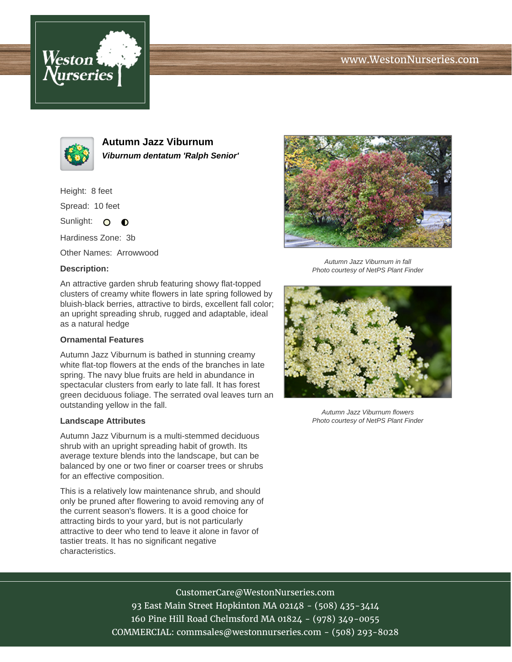# www.WestonNurseries.com





**Autumn Jazz Viburnum Viburnum dentatum 'Ralph Senior'**

Height: 8 feet

Spread: 10 feet

Sunlight: O  $\bullet$ 

Hardiness Zone: 3b

Other Names: Arrowwood

### **Description:**

An attractive garden shrub featuring showy flat-topped clusters of creamy white flowers in late spring followed by bluish-black berries, attractive to birds, excellent fall color; an upright spreading shrub, rugged and adaptable, ideal as a natural hedge

### **Ornamental Features**

Autumn Jazz Viburnum is bathed in stunning creamy white flat-top flowers at the ends of the branches in late spring. The navy blue fruits are held in abundance in spectacular clusters from early to late fall. It has forest green deciduous foliage. The serrated oval leaves turn an outstanding yellow in the fall.

#### **Landscape Attributes**

Autumn Jazz Viburnum is a multi-stemmed deciduous shrub with an upright spreading habit of growth. Its average texture blends into the landscape, but can be balanced by one or two finer or coarser trees or shrubs for an effective composition.

This is a relatively low maintenance shrub, and should only be pruned after flowering to avoid removing any of the current season's flowers. It is a good choice for attracting birds to your yard, but is not particularly attractive to deer who tend to leave it alone in favor of tastier treats. It has no significant negative characteristics.



Autumn Jazz Viburnum in fall Photo courtesy of NetPS Plant Finder



Autumn Jazz Viburnum flowers Photo courtesy of NetPS Plant Finder

## CustomerCare@WestonNurseries.com

93 East Main Street Hopkinton MA 02148 - (508) 435-3414 160 Pine Hill Road Chelmsford MA 01824 - (978) 349-0055 COMMERCIAL: commsales@westonnurseries.com - (508) 293-8028